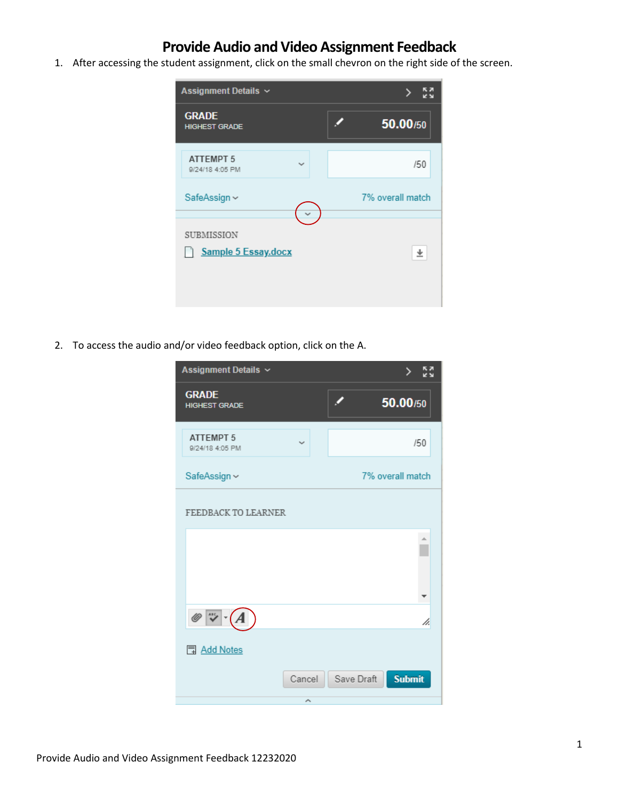# **Provide Audio and Video Assignment Feedback**

1. After accessing the student assignment, click on the small chevron on the right side of the screen.



2. To access the audio and/or video feedback option, click on the A.

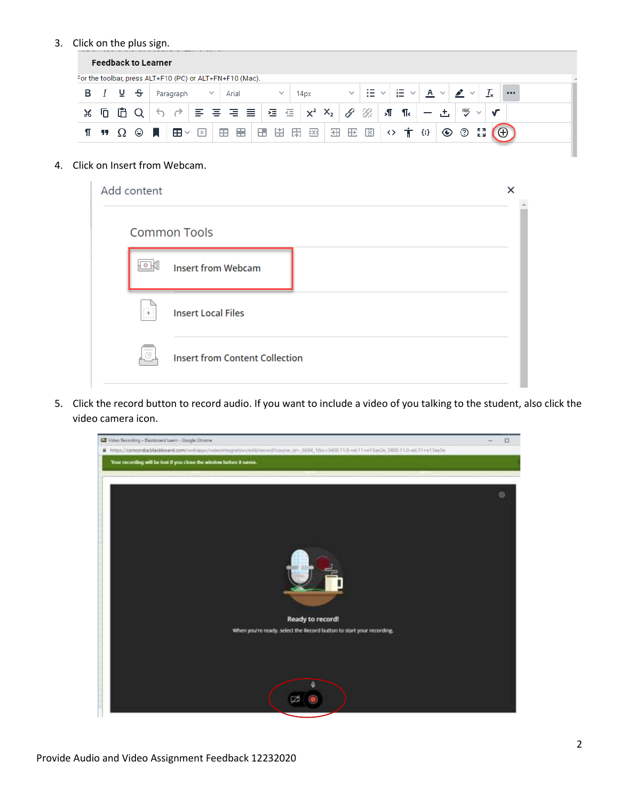### 3. Click on the plus sign.

|    |     |     |   | <b>Feedback to Learner</b> |                   |                                                          |   |       |   |              |                                                                 |   |   |     |   |                 |         |          |                 |          |   |          |  |  |
|----|-----|-----|---|----------------------------|-------------------|----------------------------------------------------------|---|-------|---|--------------|-----------------------------------------------------------------|---|---|-----|---|-----------------|---------|----------|-----------------|----------|---|----------|--|--|
|    |     |     |   |                            |                   | For the toolbar, press ALT+F10 (PC) or ALT+FN+F10 (Mac). |   |       |   |              |                                                                 |   |   |     |   |                 |         |          |                 |          |   |          |  |  |
| в  |     | 고 느 |   |                            | Paragraph         | $\checkmark$                                             |   | Arial |   | $\checkmark$ | 14px                                                            |   |   | iΞ. |   | $\equiv$ $\sim$ |         | $A \vee$ | $\checkmark$    |          |   | $\cdots$ |  |  |
| Ж  | ln. | m   |   |                            |                   |                                                          |   |       |   |              | $\equiv$ $\equiv$ $\equiv$ $\equiv$ $\equiv$ $\mid$ $x^2$ $x^2$ |   | P | ゙゙゙ | л | ¶.              |         |          | 門               |          |   |          |  |  |
| ¶. | -17 |     | ۳ |                            | Æ<br>$\checkmark$ | $\times$                                                 | ⊞ | 一圈    | Œ | 由            | EX3<br>田                                                        | 田 | 匨 | 図   | ◇ |                 | $\{;\}$ |          | $\odot$ $\odot$ | k a<br>K | Θ |          |  |  |
|    |     |     |   |                            |                   |                                                          |   |       |   |              |                                                                 |   |   |     |   |                 |         |          |                 |          |   |          |  |  |

#### 4. Click on Insert from Webcam.

| Add content                 |                                       | × |  |
|-----------------------------|---------------------------------------|---|--|
|                             | <b>Common Tools</b>                   |   |  |
| $\circ$                     | <b>Insert from Webcam</b>             |   |  |
| $\mu$ = = = = $\eta$<br>iż. | <b>Insert Local Files</b>             |   |  |
| $\overline{c}$              | <b>Insert from Content Collection</b> |   |  |

5. Click the record button to record audio. If you want to include a video of you talking to the student, also click the video camera icon.

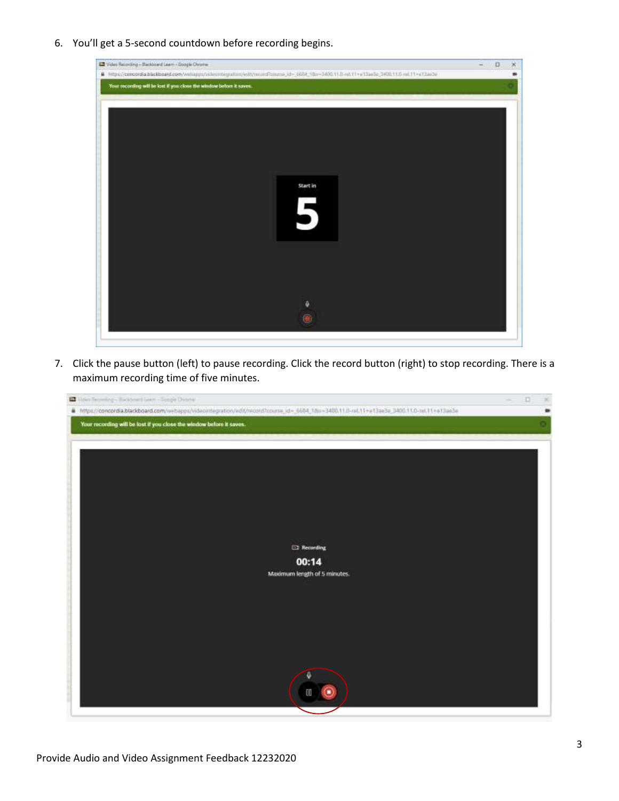6. You'll get a 5-second countdown before recording begins.



7. Click the pause button (left) to pause recording. Click the record button (right) to stop recording. There is a maximum recording time of five minutes.

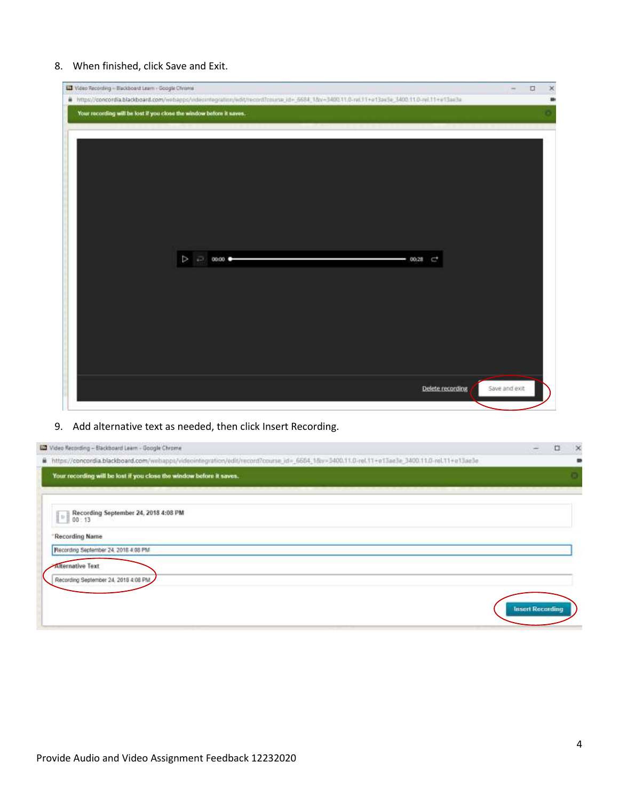### 8. When finished, click Save and Exit.

| UJ Video Recording - Blackboard Learn - Google Chrome                                                                                      |                  | $\Box$<br>$-$ | $\times$ |
|--------------------------------------------------------------------------------------------------------------------------------------------|------------------|---------------|----------|
| Fitns://concordia.blackboard.com/webapps/wdeomnegration/edit/record/course_id=_5684_18v=3400.11.0-rel.11+e13ae3e_3400.11.0-rel.11+e13ae3e_ |                  |               |          |
| Your recording will be lost if you close the window before it saves.                                                                       |                  |               |          |
|                                                                                                                                            |                  |               |          |
|                                                                                                                                            |                  |               |          |
|                                                                                                                                            |                  |               |          |
|                                                                                                                                            |                  |               |          |
|                                                                                                                                            |                  |               |          |
|                                                                                                                                            |                  |               |          |
|                                                                                                                                            |                  |               |          |
|                                                                                                                                            |                  |               |          |
|                                                                                                                                            |                  |               |          |
|                                                                                                                                            |                  |               |          |
| $\triangleright$ $\Rightarrow$ 00.00<br>$-00.28$ $C$ <sup>+</sup>                                                                          |                  |               |          |
|                                                                                                                                            |                  |               |          |
|                                                                                                                                            |                  |               |          |
|                                                                                                                                            |                  |               |          |
|                                                                                                                                            |                  |               |          |
|                                                                                                                                            |                  |               |          |
|                                                                                                                                            |                  |               |          |
|                                                                                                                                            |                  |               |          |
|                                                                                                                                            |                  |               |          |
|                                                                                                                                            |                  |               |          |
|                                                                                                                                            |                  |               |          |
|                                                                                                                                            | Defete recording | Save and exit |          |
|                                                                                                                                            |                  |               |          |
|                                                                                                                                            |                  |               |          |

## 9. Add alternative text as needed, then click Insert Recording.

| $\Box$ | $\times$                |
|--------|-------------------------|
|        |                         |
|        | $\Box$                  |
|        |                         |
|        |                         |
|        |                         |
|        |                         |
|        |                         |
|        |                         |
|        |                         |
|        | <b>Insert Recording</b> |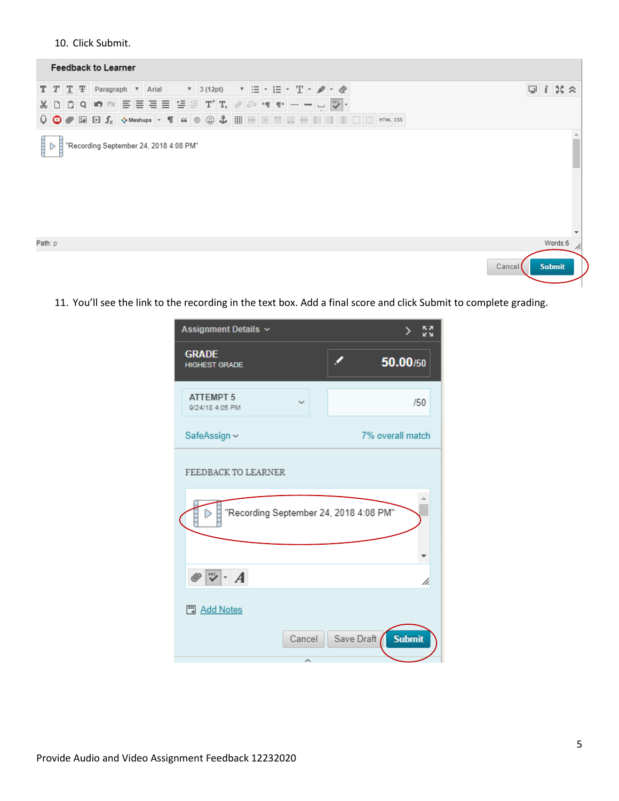#### 10. Click Submit.



11. You'll see the link to the recording in the text box. Add a final score and click Submit to complete grading.